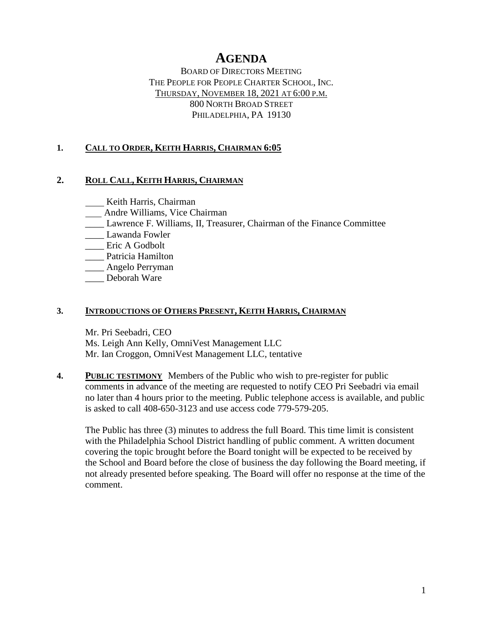# **AGENDA**

BOARD OF DIRECTORS MEETING THE PEOPLE FOR PEOPLE CHARTER SCHOOL, INC. THURSDAY, NOVEMBER 18, 2021 AT 6:00 P.M. 800 NORTH BROAD STREET PHILADELPHIA, PA 19130

## **1. CALL TO ORDER, KEITH HARRIS, CHAIRMAN 6:05**

### **2. ROLL CALL, KEITH HARRIS, CHAIRMAN**

**Keith Harris**, Chairman

- Andre Williams, Vice Chairman
- \_\_\_\_ Lawrence F. Williams, II, Treasurer, Chairman of the Finance Committee
- \_\_\_\_ Lawanda Fowler
- \_\_\_\_ Eric A Godbolt
- \_\_\_\_ Patricia Hamilton
- \_\_\_\_ Angelo Perryman
- \_\_\_\_ Deborah Ware

### **3. INTRODUCTIONS OF OTHERS PRESENT, KEITH HARRIS, CHAIRMAN**

Mr. Pri Seebadri, CEO Ms. Leigh Ann Kelly, OmniVest Management LLC Mr. Ian Croggon, OmniVest Management LLC, tentative

**4. PUBLIC TESTIMONY** Members of the Public who wish to pre-register for public comments in advance of the meeting are requested to notify CEO Pri Seebadri via email no later than 4 hours prior to the meeting. Public telephone access is available, and public is asked to call 408-650-3123 and use access code 779-579-205.

The Public has three (3) minutes to address the full Board. This time limit is consistent with the Philadelphia School District handling of public comment. A written document covering the topic brought before the Board tonight will be expected to be received by the School and Board before the close of business the day following the Board meeting, if not already presented before speaking. The Board will offer no response at the time of the comment.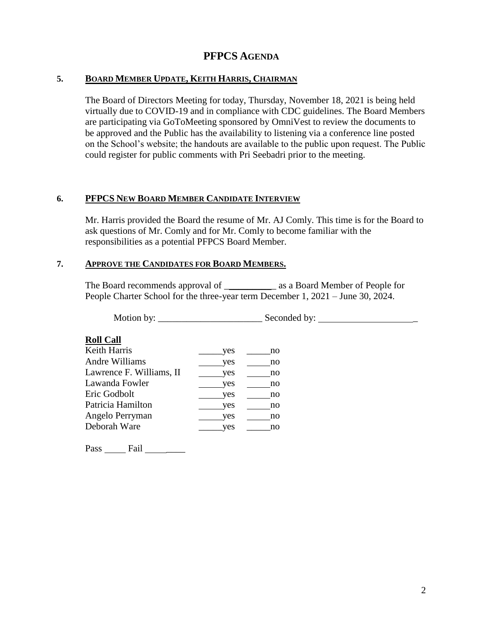#### **5. BOARD MEMBER UPDATE, KEITH HARRIS, CHAIRMAN**

The Board of Directors Meeting for today, Thursday, November 18, 2021 is being held virtually due to COVID-19 and in compliance with CDC guidelines. The Board Members are participating via GoToMeeting sponsored by OmniVest to review the documents to be approved and the Public has the availability to listening via a conference line posted on the School's website; the handouts are available to the public upon request. The Public could register for public comments with Pri Seebadri prior to the meeting.

#### **6. PFPCS NEW BOARD MEMBER CANDIDATE INTERVIEW**

Mr. Harris provided the Board the resume of Mr. AJ Comly. This time is for the Board to ask questions of Mr. Comly and for Mr. Comly to become familiar with the responsibilities as a potential PFPCS Board Member.

#### **7. APPROVE THE CANDIDATES FOR BOARD MEMBERS.**

The Board recommends approval of \_\_\_\_\_\_\_\_\_\_\_\_\_\_ as a Board Member of People for People Charter School for the three-year term December 1, 2021 – June 30, 2024.

Motion by: \_\_\_\_\_\_\_\_\_\_\_\_\_\_\_\_\_\_\_\_\_\_ Seconded by: \_

#### **Roll Call**

| Keith Harris             | ves | no |
|--------------------------|-----|----|
| Andre Williams           | ves | no |
| Lawrence F. Williams, II | ves | no |
| Lawanda Fowler           | ves | no |
| Eric Godbolt             | ves | no |
| Patricia Hamilton        | ves | no |
| Angelo Perryman          | ves | no |
| Deborah Ware             | ves | no |
|                          |     |    |

Pass \_\_\_\_\_\_\_ Fail \_\_\_\_\_\_\_\_\_\_\_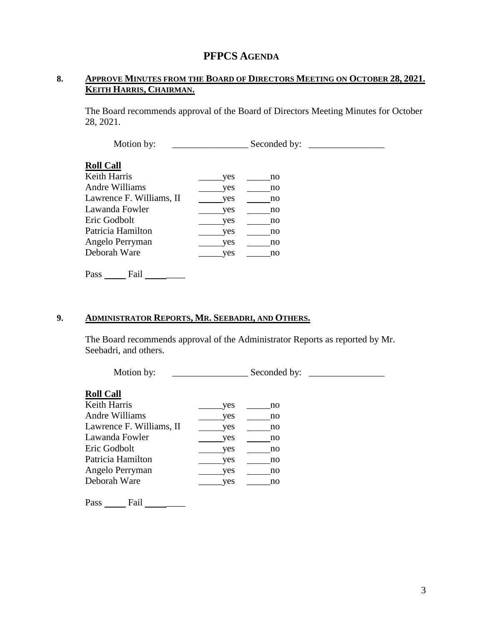### **8. APPROVE MINUTES FROM THE BOARD OF DIRECTORS MEETING ON OCTOBER 28, 2021. KEITH HARRIS, CHAIRMAN.**

The Board recommends approval of the Board of Directors Meeting Minutes for October 28, 2021.

Motion by: \_\_\_\_\_\_\_\_\_\_\_\_\_\_\_\_ Seconded by: \_\_\_\_\_\_\_\_\_\_\_\_\_\_\_\_ **Roll Call** Keith Harris \_\_\_\_\_yes \_\_\_\_\_no Andre Williams yes no Lawrence F. Williams, II yes \_\_\_\_\_\_\_ no Lawanda Fowler yes no Eric Godbolt yes no Patricia Hamilton yes no Angelo Perryman yes no Deborah Ware \_\_\_\_\_\_\_\_yes \_\_\_\_\_\_no Pass Fail \_\_\_\_\_

**9. ADMINISTRATOR REPORTS, MR. SEEBADRI, AND OTHERS.**

The Board recommends approval of the Administrator Reports as reported by Mr. Seebadri, and others.

Motion by: \_\_\_\_\_\_\_\_\_\_\_\_\_\_\_\_ Seconded by: \_\_\_\_\_\_\_\_\_\_\_\_\_\_\_\_ **Roll Call** Keith Harris **Example 18** ves the no Andre Williams yes no Lawrence F. Williams, II yes \_\_\_\_\_\_\_\_ no Lawanda Fowler yes no Eric Godbolt yes no Patricia Hamilton yes \_\_\_\_\_\_\_ no Angelo Perryman yes no Deborah Ware \_\_\_\_\_\_\_\_\_yes \_\_\_\_\_\_\_no

Pass Fail \_\_\_\_\_\_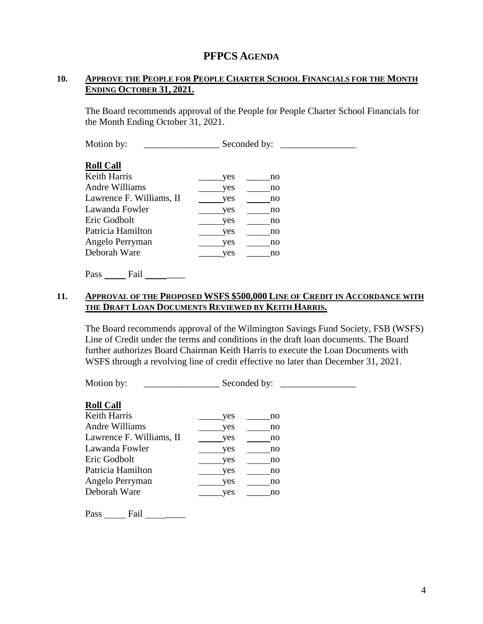#### **10. APPROVE THE PEOPLE FOR PEOPLE CHARTER SCHOOL FINANCIALS FOR THE MONTH ENDING OCTOBER 31, 2021.**

The Board recommends approval of the People for People Charter School Financials for the Month Ending October 31, 2021.

Motion by: \_\_\_\_\_\_\_\_\_\_\_\_\_\_\_\_ Seconded by: \_\_\_\_\_\_\_\_\_\_\_\_\_\_\_\_

#### **Roll Call**

| Keith Harris             | yes | no |
|--------------------------|-----|----|
| Andre Williams           | yes | no |
| Lawrence F. Williams, II | ves | no |
| Lawanda Fowler           | ves | no |
| Eric Godbolt             | ves | no |
| Patricia Hamilton        | yes | no |
| Angelo Perryman          | ves | no |
| Deborah Ware             | ves | no |
|                          |     |    |

Pass Fail \_\_\_\_\_\_

#### **11. APPROVAL OF THE PROPOSED WSFS \$500,000 LINE OF CREDIT IN ACCORDANCE WITH THE DRAFT LOAN DOCUMENTS REVIEWED BY KEITH HARRIS.**

The Board recommends approval of the Wilmington Savings Fund Society, FSB (WSFS) Line of Credit under the terms and conditions in the draft loan documents. The Board further authorizes Board Chairman Keith Harris to execute the Loan Documents with WSFS through a revolving line of credit effective no later than December 31, 2021.

Motion by: \_\_\_\_\_\_\_\_\_\_\_\_\_\_\_\_ Seconded by: \_\_\_\_\_\_\_\_\_\_\_\_\_\_\_\_

#### **Roll Call**

| yes | no |
|-----|----|
| yes | no |
| ves | no |
| yes | no |
| yes | no |
| yes | no |
| ves | no |
| ves | no |
|     |    |

Pass \_\_\_\_\_\_ Fail \_\_\_\_\_\_\_\_\_\_